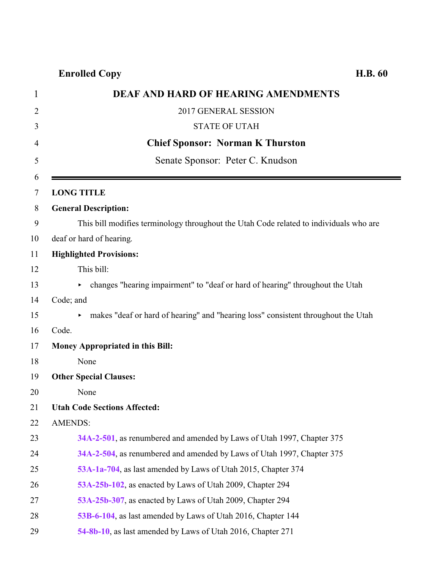| <b>DEAF AND HARD OF HEARING AMENDMENTS</b><br>$\mathbf{1}$                             |  |
|----------------------------------------------------------------------------------------|--|
| 2017 GENERAL SESSION<br>$\overline{2}$                                                 |  |
| <b>STATE OF UTAH</b><br>3                                                              |  |
| <b>Chief Sponsor: Norman K Thurston</b>                                                |  |
| Senate Sponsor: Peter C. Knudson                                                       |  |
| <b>LONG TITLE</b>                                                                      |  |
| <b>General Description:</b>                                                            |  |
| This bill modifies terminology throughout the Utah Code related to individuals who are |  |
| deaf or hard of hearing.                                                               |  |
| <b>Highlighted Provisions:</b>                                                         |  |
| This bill:                                                                             |  |
| changes "hearing impairment" to "deaf or hard of hearing" throughout the Utah          |  |
| Code; and                                                                              |  |
| • makes "deaf or hard of hearing" and "hearing loss" consistent throughout the Utah    |  |
| Code.                                                                                  |  |
| Money Appropriated in this Bill:                                                       |  |
| None                                                                                   |  |
| <b>Other Special Clauses:</b>                                                          |  |
| None                                                                                   |  |
| <b>Utah Code Sections Affected:</b>                                                    |  |
| <b>AMENDS:</b>                                                                         |  |
| 34A-2-501, as renumbered and amended by Laws of Utah 1997, Chapter 375                 |  |
| 34A-2-504, as renumbered and amended by Laws of Utah 1997, Chapter 375                 |  |
| 53A-1a-704, as last amended by Laws of Utah 2015, Chapter 374                          |  |
| 53A-25b-102, as enacted by Laws of Utah 2009, Chapter 294                              |  |
| 53A-25b-307, as enacted by Laws of Utah 2009, Chapter 294                              |  |
| 53B-6-104, as last amended by Laws of Utah 2016, Chapter 144                           |  |
| 54-8b-10, as last amended by Laws of Utah 2016, Chapter 271                            |  |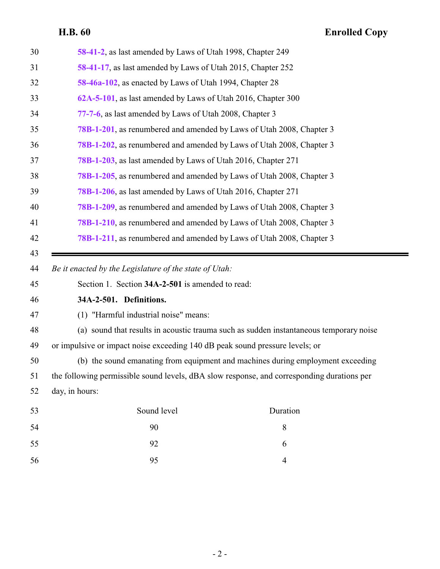<span id="page-1-0"></span>

| 30 | 58-41-2, as last amended by Laws of Utah 1998, Chapter 249                                 |  |
|----|--------------------------------------------------------------------------------------------|--|
| 31 | 58-41-17, as last amended by Laws of Utah 2015, Chapter 252                                |  |
| 32 | 58-46a-102, as enacted by Laws of Utah 1994, Chapter 28                                    |  |
| 33 | 62A-5-101, as last amended by Laws of Utah 2016, Chapter 300                               |  |
| 34 | 77-7-6, as last amended by Laws of Utah 2008, Chapter 3                                    |  |
| 35 | 78B-1-201, as renumbered and amended by Laws of Utah 2008, Chapter 3                       |  |
| 36 | 78B-1-202, as renumbered and amended by Laws of Utah 2008, Chapter 3                       |  |
| 37 | 78B-1-203, as last amended by Laws of Utah 2016, Chapter 271                               |  |
| 38 | 78B-1-205, as renumbered and amended by Laws of Utah 2008, Chapter 3                       |  |
| 39 | 78B-1-206, as last amended by Laws of Utah 2016, Chapter 271                               |  |
| 40 | 78B-1-209, as renumbered and amended by Laws of Utah 2008, Chapter 3                       |  |
| 41 | 78B-1-210, as renumbered and amended by Laws of Utah 2008, Chapter 3                       |  |
| 42 | 78B-1-211, as renumbered and amended by Laws of Utah 2008, Chapter 3                       |  |
| 43 |                                                                                            |  |
|    |                                                                                            |  |
| 44 | Be it enacted by the Legislature of the state of Utah:                                     |  |
| 45 | Section 1. Section 34A-2-501 is amended to read:                                           |  |
| 46 | 34A-2-501. Definitions.                                                                    |  |
| 47 | (1) "Harmful industrial noise" means:                                                      |  |
| 48 | (a) sound that results in acoustic trauma such as sudden instantaneous temporary noise     |  |
| 49 | or impulsive or impact noise exceeding 140 dB peak sound pressure levels; or               |  |
| 50 | (b) the sound emanating from equipment and machines during employment exceeding            |  |
| 51 | the following permissible sound levels, dBA slow response, and corresponding durations per |  |
| 52 | day, in hours:                                                                             |  |
| 53 | Sound level<br>Duration                                                                    |  |
| 54 | 90<br>$8\,$                                                                                |  |
| 55 | 92<br>6                                                                                    |  |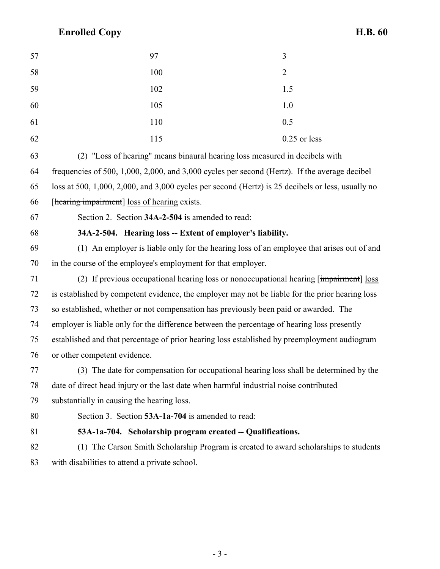| 57 | 97  | 3              |
|----|-----|----------------|
| 58 | 100 | 2              |
| 59 | 102 | 1.5            |
| 60 | 105 | 1.0            |
| 61 | 110 | 0.5            |
| 62 | 115 | $0.25$ or less |

 (2) "Loss of hearing" means binaural hearing loss measured in decibels with frequencies of 500, 1,000, 2,000, and 3,000 cycles per second (Hertz). If the average decibel loss at 500, 1,000, 2,000, and 3,000 cycles per second (Hertz) is 25 decibels or less, usually no

[hearing impairment] loss of hearing exists.

<span id="page-2-0"></span>

Section 2. Section **34A-2-504** is amended to read:

### **34A-2-504. Hearing loss -- Extent of employer's liability.**

 (1) An employer is liable only for the hearing loss of an employee that arises out of and in the course of the employee's employment for that employer.

 (2) If previous occupational hearing loss or nonoccupational hearing [impairment] loss is established by competent evidence, the employer may not be liable for the prior hearing loss so established, whether or not compensation has previously been paid or awarded. The employer is liable only for the difference between the percentage of hearing loss presently established and that percentage of prior hearing loss established by preemployment audiogram or other competent evidence.

 (3) The date for compensation for occupational hearing loss shall be determined by the date of direct head injury or the last date when harmful industrial noise contributed

substantially in causing the hearing loss.

Section 3. Section **53A-1a-704** is amended to read:

<span id="page-2-1"></span>

**53A-1a-704. Scholarship program created -- Qualifications.**

 (1) The Carson Smith Scholarship Program is created to award scholarships to students with disabilities to attend a private school.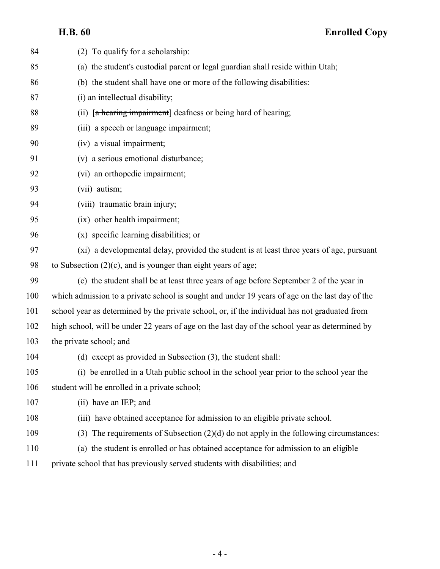| 84  | (2) To qualify for a scholarship:                                                              |
|-----|------------------------------------------------------------------------------------------------|
| 85  | (a) the student's custodial parent or legal guardian shall reside within Utah;                 |
| 86  | (b) the student shall have one or more of the following disabilities:                          |
| 87  | (i) an intellectual disability;                                                                |
| 88  | (ii) [a hearing impairment] deafness or being hard of hearing;                                 |
| 89  | (iii) a speech or language impairment;                                                         |
| 90  | (iv) a visual impairment;                                                                      |
| 91  | (v) a serious emotional disturbance;                                                           |
| 92  | (vi) an orthopedic impairment;                                                                 |
| 93  | (vii) autism;                                                                                  |
| 94  | (viii) traumatic brain injury;                                                                 |
| 95  | (ix) other health impairment;                                                                  |
| 96  | (x) specific learning disabilities; or                                                         |
| 97  | (xi) a developmental delay, provided the student is at least three years of age, pursuant      |
| 98  | to Subsection $(2)(c)$ , and is younger than eight years of age;                               |
| 99  | (c) the student shall be at least three years of age before September 2 of the year in         |
| 100 | which admission to a private school is sought and under 19 years of age on the last day of the |
| 101 | school year as determined by the private school, or, if the individual has not graduated from  |
| 102 | high school, will be under 22 years of age on the last day of the school year as determined by |
| 103 | the private school; and                                                                        |
| 104 | (d) except as provided in Subsection $(3)$ , the student shall:                                |
| 105 | (i) be enrolled in a Utah public school in the school year prior to the school year the        |
| 106 | student will be enrolled in a private school;                                                  |
| 107 | (ii) have an IEP; and                                                                          |
| 108 | (iii) have obtained acceptance for admission to an eligible private school.                    |
| 109 | (3) The requirements of Subsection $(2)(d)$ do not apply in the following circumstances:       |
| 110 | (a) the student is enrolled or has obtained acceptance for admission to an eligible            |
| 111 | private school that has previously served students with disabilities; and                      |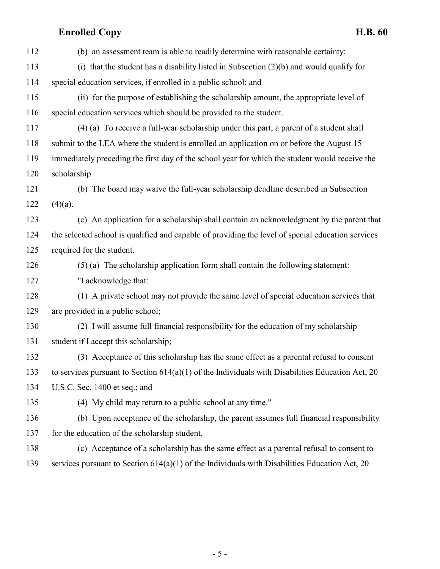| 112 | (b) an assessment team is able to readily determine with reasonable certainty:                     |
|-----|----------------------------------------------------------------------------------------------------|
| 113 | (i) that the student has a disability listed in Subsection $(2)(b)$ and would qualify for          |
| 114 | special education services, if enrolled in a public school; and                                    |
| 115 | (ii) for the purpose of establishing the scholarship amount, the appropriate level of              |
| 116 | special education services which should be provided to the student.                                |
| 117 | (4) (a) To receive a full-year scholarship under this part, a parent of a student shall            |
| 118 | submit to the LEA where the student is enrolled an application on or before the August 15          |
| 119 | immediately preceding the first day of the school year for which the student would receive the     |
| 120 | scholarship.                                                                                       |
| 121 | (b) The board may waive the full-year scholarship deadline described in Subsection                 |
| 122 | $(4)(a)$ .                                                                                         |
| 123 | (c) An application for a scholarship shall contain an acknowledgment by the parent that            |
| 124 | the selected school is qualified and capable of providing the level of special education services  |
| 125 | required for the student.                                                                          |
| 126 | (5) (a) The scholarship application form shall contain the following statement:                    |
| 127 | "I acknowledge that:                                                                               |
| 128 | (1) A private school may not provide the same level of special education services that             |
| 129 | are provided in a public school;                                                                   |
| 130 | (2) I will assume full financial responsibility for the education of my scholarship                |
| 131 | student if I accept this scholarship;                                                              |
| 132 | (3) Acceptance of this scholarship has the same effect as a parental refusal to consent            |
| 133 | to services pursuant to Section $614(a)(1)$ of the Individuals with Disabilities Education Act, 20 |
| 134 | U.S.C. Sec. 1400 et seq.; and                                                                      |
| 135 | (4) My child may return to a public school at any time."                                           |
| 136 | (b) Upon acceptance of the scholarship, the parent assumes full financial responsibility           |
| 137 | for the education of the scholarship student.                                                      |
| 138 | (c) Acceptance of a scholarship has the same effect as a parental refusal to consent to            |
| 139 | services pursuant to Section $614(a)(1)$ of the Individuals with Disabilities Education Act, 20    |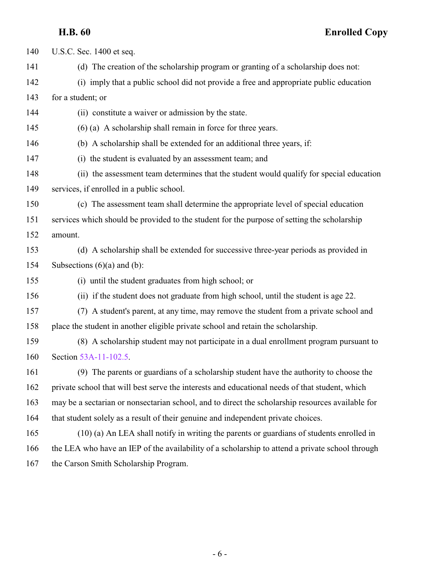U.S.C. Sec. 1400 et seq.

**H.B. 60 Enrolled Copy**

 (d) The creation of the scholarship program or granting of a scholarship does not: (i) imply that a public school did not provide a free and appropriate public education for a student; or (ii) constitute a waiver or admission by the state. (6) (a) A scholarship shall remain in force for three years. (b) A scholarship shall be extended for an additional three years, if: (i) the student is evaluated by an assessment team; and (ii) the assessment team determines that the student would qualify for special education services, if enrolled in a public school. (c) The assessment team shall determine the appropriate level of special education services which should be provided to the student for the purpose of setting the scholarship amount. (d) A scholarship shall be extended for successive three-year periods as provided in 154 Subsections  $(6)(a)$  and  $(b)$ : (i) until the student graduates from high school; or (ii) if the student does not graduate from high school, until the student is age 22. (7) A student's parent, at any time, may remove the student from a private school and place the student in another eligible private school and retain the scholarship. (8) A scholarship student may not participate in a dual enrollment program pursuant to Section [53A-11-102.5](http://le.utah.gov/UtahCode/SectionLookup.jsp?section=53a-11-102.5&session=2017GS). (9) The parents or guardians of a scholarship student have the authority to choose the private school that will best serve the interests and educational needs of that student, which may be a sectarian or nonsectarian school, and to direct the scholarship resources available for that student solely as a result of their genuine and independent private choices. (10) (a) An LEA shall notify in writing the parents or guardians of students enrolled in the LEA who have an IEP of the availability of a scholarship to attend a private school through the Carson Smith Scholarship Program.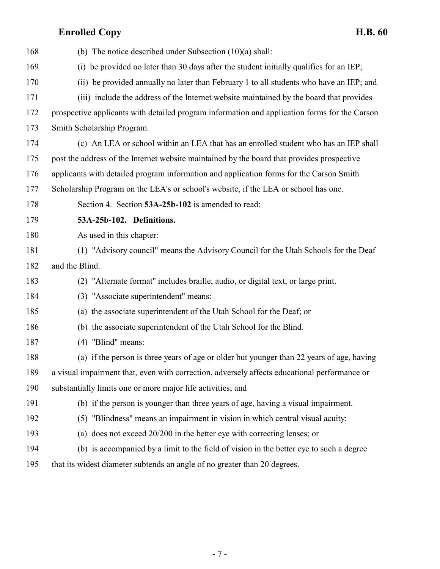<span id="page-6-0"></span>

| 168 | (b) The notice described under Subsection $(10)(a)$ shall:                                    |
|-----|-----------------------------------------------------------------------------------------------|
| 169 | (i) be provided no later than 30 days after the student initially qualifies for an IEP;       |
| 170 | (ii) be provided annually no later than February 1 to all students who have an IEP; and       |
| 171 | (iii) include the address of the Internet website maintained by the board that provides       |
| 172 | prospective applicants with detailed program information and application forms for the Carson |
| 173 | Smith Scholarship Program.                                                                    |
| 174 | (c) An LEA or school within an LEA that has an enrolled student who has an IEP shall          |
| 175 | post the address of the Internet website maintained by the board that provides prospective    |
| 176 | applicants with detailed program information and application forms for the Carson Smith       |
| 177 | Scholarship Program on the LEA's or school's website, if the LEA or school has one.           |
| 178 | Section 4. Section 53A-25b-102 is amended to read:                                            |
| 179 | 53A-25b-102. Definitions.                                                                     |
| 180 | As used in this chapter:                                                                      |
| 181 | (1) "Advisory council" means the Advisory Council for the Utah Schools for the Deaf           |
| 182 | and the Blind.                                                                                |
| 183 | (2) "Alternate format" includes braille, audio, or digital text, or large print.              |
| 184 | (3) "Associate superintendent" means:                                                         |
| 185 | (a) the associate superintendent of the Utah School for the Deaf; or                          |
| 186 | (b) the associate superintendent of the Utah School for the Blind.                            |
| 187 | $(4)$ "Blind" means:                                                                          |
| 188 | (a) if the person is three years of age or older but younger than 22 years of age, having     |
| 189 | a visual impairment that, even with correction, adversely affects educational performance or  |
| 190 | substantially limits one or more major life activities; and                                   |
| 191 | (b) if the person is younger than three years of age, having a visual impairment.             |
| 192 | (5) "Blindness" means an impairment in vision in which central visual acuity:                 |
| 193 | (a) does not exceed 20/200 in the better eye with correcting lenses; or                       |
| 194 | (b) is accompanied by a limit to the field of vision in the better eye to such a degree       |
| 195 | that its widest diameter subtends an angle of no greater than 20 degrees.                     |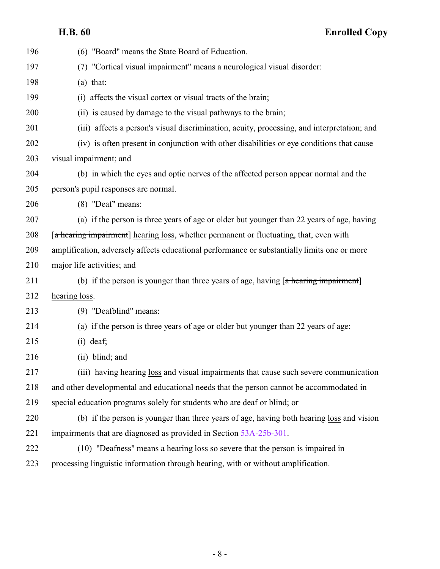| 196 | (6) "Board" means the State Board of Education.                                              |
|-----|----------------------------------------------------------------------------------------------|
| 197 | (7) "Cortical visual impairment" means a neurological visual disorder:                       |
| 198 | $(a)$ that:                                                                                  |
| 199 | (i) affects the visual cortex or visual tracts of the brain;                                 |
| 200 | (ii) is caused by damage to the visual pathways to the brain;                                |
| 201 | (iii) affects a person's visual discrimination, acuity, processing, and interpretation; and  |
| 202 | (iv) is often present in conjunction with other disabilities or eye conditions that cause    |
| 203 | visual impairment; and                                                                       |
| 204 | (b) in which the eyes and optic nerves of the affected person appear normal and the          |
| 205 | person's pupil responses are normal.                                                         |
| 206 | (8) "Deaf" means:                                                                            |
| 207 | (a) if the person is three years of age or older but younger than 22 years of age, having    |
| 208 | [a hearing impairment] hearing loss, whether permanent or fluctuating, that, even with       |
| 209 | amplification, adversely affects educational performance or substantially limits one or more |
| 210 | major life activities; and                                                                   |
| 211 | (b) if the person is younger than three years of age, having $[a]$ hearing impairment        |
| 212 | hearing loss.                                                                                |
| 213 | (9) "Deafblind" means:                                                                       |
| 214 | (a) if the person is three years of age or older but younger than 22 years of age:           |
| 215 | $(i)$ deaf;                                                                                  |
| 216 | (ii) blind; and                                                                              |
| 217 | (iii) having hearing loss and visual impairments that cause such severe communication        |
| 218 | and other developmental and educational needs that the person cannot be accommodated in      |
| 219 | special education programs solely for students who are deaf or blind; or                     |
| 220 | (b) if the person is younger than three years of age, having both hearing loss and vision    |
| 221 | impairments that are diagnosed as provided in Section 53A-25b-301.                           |
| 222 | (10) "Deafness" means a hearing loss so severe that the person is impaired in                |
| 223 | processing linguistic information through hearing, with or without amplification.            |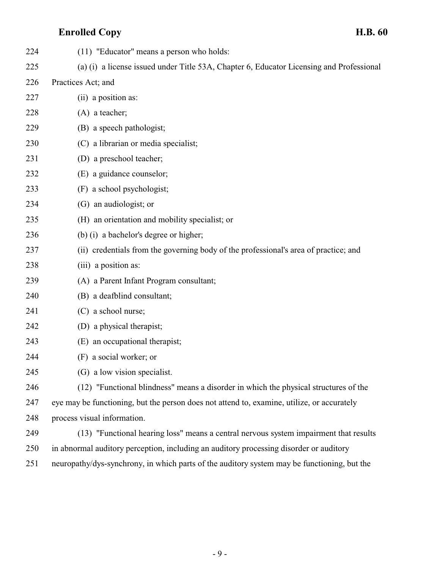| 224 | (11) "Educator" means a person who holds:                                                   |
|-----|---------------------------------------------------------------------------------------------|
| 225 | (a) (i) a license issued under Title 53A, Chapter 6, Educator Licensing and Professional    |
| 226 | Practices Act; and                                                                          |
| 227 | (ii) a position as:                                                                         |
| 228 | $(A)$ a teacher;                                                                            |
| 229 | (B) a speech pathologist;                                                                   |
| 230 | (C) a librarian or media specialist;                                                        |
| 231 | (D) a preschool teacher;                                                                    |
| 232 | (E) a guidance counselor;                                                                   |
| 233 | (F) a school psychologist;                                                                  |
| 234 | (G) an audiologist; or                                                                      |
| 235 | (H) an orientation and mobility specialist; or                                              |
| 236 | (b) (i) a bachelor's degree or higher;                                                      |
| 237 | (ii) credentials from the governing body of the professional's area of practice; and        |
| 238 | (iii) a position as:                                                                        |
| 239 | (A) a Parent Infant Program consultant;                                                     |
| 240 | (B) a deafblind consultant;                                                                 |
| 241 | (C) a school nurse;                                                                         |
| 242 | (D) a physical therapist;                                                                   |
| 243 | (E) an occupational therapist;                                                              |
| 244 | (F) a social worker; or                                                                     |
| 245 | (G) a low vision specialist.                                                                |
| 246 | (12) "Functional blindness" means a disorder in which the physical structures of the        |
| 247 | eye may be functioning, but the person does not attend to, examine, utilize, or accurately  |
| 248 | process visual information.                                                                 |
| 249 | (13) "Functional hearing loss" means a central nervous system impairment that results       |
| 250 | in abnormal auditory perception, including an auditory processing disorder or auditory      |
| 251 | neuropathy/dys-synchrony, in which parts of the auditory system may be functioning, but the |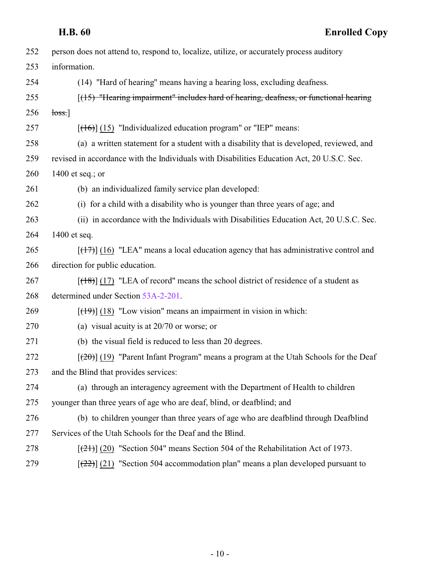| person does not attend to, respond to, localize, utilize, or accurately process auditory   |
|--------------------------------------------------------------------------------------------|
| information.                                                                               |
| (14) "Hard of hearing" means having a hearing loss, excluding deafness.                    |
| [(15) "Hearing impairment" includes hard of hearing, deafness, or functional hearing       |
| loss.]                                                                                     |
| $[ (16) ]$ (15) "Individualized education program" or "IEP" means:                         |
| (a) a written statement for a student with a disability that is developed, reviewed, and   |
| revised in accordance with the Individuals with Disabilities Education Act, 20 U.S.C. Sec. |
| 1400 et seq.; or                                                                           |
| (b) an individualized family service plan developed:                                       |
| (i) for a child with a disability who is younger than three years of age; and              |
| (ii) in accordance with the Individuals with Disabilities Education Act, 20 U.S.C. Sec.    |
| 1400 et seq.                                                                               |
| $[ (17) ]$ (16) "LEA" means a local education agency that has administrative control and   |
| direction for public education.                                                            |
| $[ (18) ]$ (17) "LEA of record" means the school district of residence of a student as     |
| determined under Section 53A-2-201.                                                        |
| $[ (19) ]$ (18) "Low vision" means an impairment in vision in which:                       |
| (a) visual acuity is at $20/70$ or worse; or                                               |
| (b) the visual field is reduced to less than 20 degrees.                                   |
| $[2\theta]$ (19) "Parent Infant Program" means a program at the Utah Schools for the Deaf  |
| and the Blind that provides services:                                                      |
| (a) through an interagency agreement with the Department of Health to children             |
| younger than three years of age who are deaf, blind, or deafblind; and                     |
| (b) to children younger than three years of age who are deafblind through Deafblind        |
| Services of the Utah Schools for the Deaf and the Blind.                                   |
| $[\frac{(21)}{(20)}]$ "Section 504" means Section 504 of the Rehabilitation Act of 1973.   |
| $[\frac{22}{2}]$ (21) "Section 504 accommodation plan" means a plan developed pursuant to  |
|                                                                                            |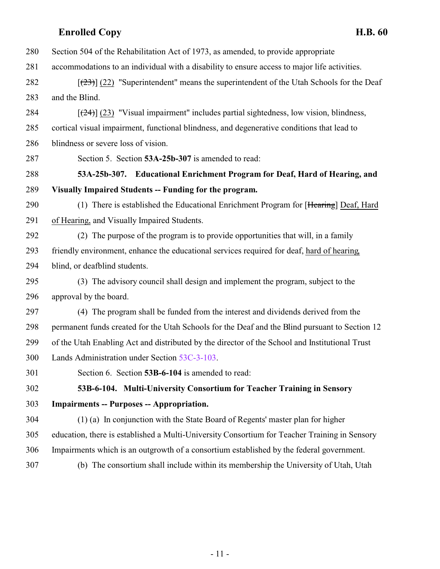- Section 504 of the Rehabilitation Act of 1973, as amended, to provide appropriate
- accommodations to an individual with a disability to ensure access to major life activities.
- 282  $\left[\frac{(23)}{(22)}\right]$  (22) "Superintendent" means the superintendent of the Utah Schools for the Deaf and the Blind.
- 284  $\left[\frac{(24)}{(23)}\right]$  (23) "Visual impairment" includes partial sightedness, low vision, blindness, cortical visual impairment, functional blindness, and degenerative conditions that lead to blindness or severe loss of vision.
- <span id="page-10-0"></span>Section 5. Section **53A-25b-307** is amended to read:
- **53A-25b-307. Educational Enrichment Program for Deaf, Hard of Hearing, and Visually Impaired Students -- Funding for the program.**
- 290 (1) There is established the Educational Enrichment Program for [Hearing] Deaf, Hard of Hearing, and Visually Impaired Students.
- (2) The purpose of the program is to provide opportunities that will, in a family friendly environment, enhance the educational services required for deaf, hard of hearing, blind, or deafblind students.
- (3) The advisory council shall design and implement the program, subject to the approval by the board.
- (4) The program shall be funded from the interest and dividends derived from the permanent funds created for the Utah Schools for the Deaf and the Blind pursuant to Section 12 of the Utah Enabling Act and distributed by the director of the School and Institutional Trust Lands Administration under Section [53C-3-103](http://le.utah.gov/UtahCode/SectionLookup.jsp?section=53c-3-103&session=2017GS).
- <span id="page-10-1"></span>Section 6. Section **53B-6-104** is amended to read:

### **53B-6-104. Multi-University Consortium for Teacher Training in Sensory**

- **Impairments -- Purposes -- Appropriation.**
- (1) (a) In conjunction with the State Board of Regents' master plan for higher education, there is established a Multi-University Consortium for Teacher Training in Sensory Impairments which is an outgrowth of a consortium established by the federal government.
- 

(b) The consortium shall include within its membership the University of Utah, Utah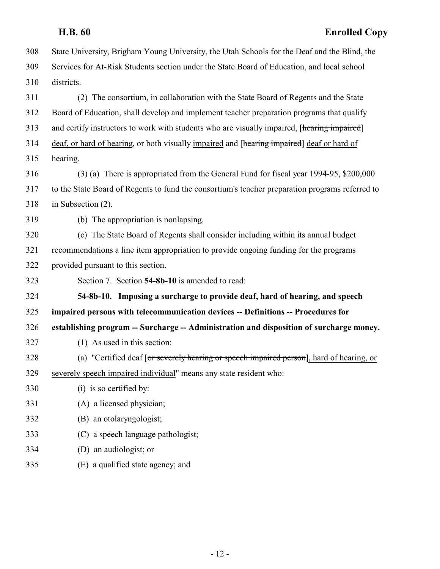<span id="page-11-0"></span>

|     | <b>Enrolled Copy</b><br><b>H.B. 60</b>                                                          |
|-----|-------------------------------------------------------------------------------------------------|
| 308 | State University, Brigham Young University, the Utah Schools for the Deaf and the Blind, the    |
| 309 | Services for At-Risk Students section under the State Board of Education, and local school      |
| 310 | districts.                                                                                      |
| 311 | (2) The consortium, in collaboration with the State Board of Regents and the State              |
| 312 | Board of Education, shall develop and implement teacher preparation programs that qualify       |
| 313 | and certify instructors to work with students who are visually impaired, [hearing impaired]     |
| 314 | deaf, or hard of hearing, or both visually impaired and [hearing impaired] deaf or hard of      |
| 315 | hearing.                                                                                        |
| 316 | (3) (a) There is appropriated from the General Fund for fiscal year 1994-95, \$200,000          |
| 317 | to the State Board of Regents to fund the consortium's teacher preparation programs referred to |
| 318 | in Subsection $(2)$ .                                                                           |
| 319 | (b) The appropriation is nonlapsing.                                                            |
| 320 | (c) The State Board of Regents shall consider including within its annual budget                |
| 321 | recommendations a line item appropriation to provide ongoing funding for the programs           |
| 322 | provided pursuant to this section.                                                              |
| 323 | Section 7. Section 54-8b-10 is amended to read:                                                 |
| 324 | 54-8b-10. Imposing a surcharge to provide deaf, hard of hearing, and speech                     |
| 325 | impaired persons with telecommunication devices -- Definitions -- Procedures for                |
| 326 | establishing program -- Surcharge -- Administration and disposition of surcharge money.         |
| 327 | (1) As used in this section:                                                                    |
| 328 | (a) "Certified deaf [or severely hearing or speech impaired person], hard of hearing, or        |
| 329 | severely speech impaired individual" means any state resident who:                              |
| 330 | (i) is so certified by:                                                                         |
| 331 | (A) a licensed physician;                                                                       |
| 332 | (B) an otolaryngologist;                                                                        |
| 333 | (C) a speech language pathologist;                                                              |
| 334 | (D) an audiologist; or                                                                          |
| 335 | (E) a qualified state agency; and                                                               |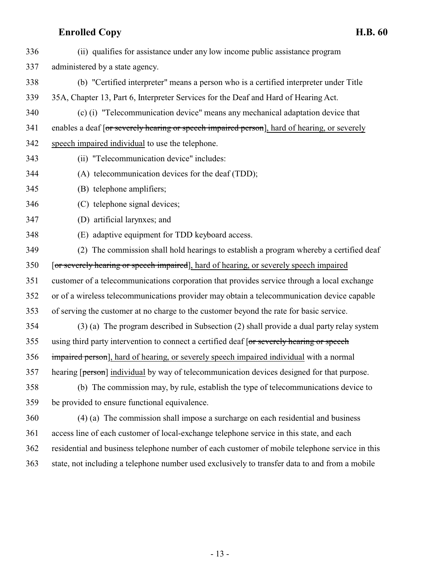(ii) qualifies for assistance under any low income public assistance program administered by a state agency. (b) "Certified interpreter" means a person who is a certified interpreter under Title 35A, Chapter 13, Part 6, Interpreter Services for the Deaf and Hard of Hearing Act. (c) (i) "Telecommunication device" means any mechanical adaptation device that 341 enables a deaf [or severely hearing or speech impaired person], hard of hearing, or severely speech impaired individual to use the telephone. (ii) "Telecommunication device" includes: (A) telecommunication devices for the deaf (TDD); (B) telephone amplifiers; (C) telephone signal devices; (D) artificial larynxes; and (E) adaptive equipment for TDD keyboard access. (2) The commission shall hold hearings to establish a program whereby a certified deaf [or severely hearing or speech impaired], hard of hearing, or severely speech impaired customer of a telecommunications corporation that provides service through a local exchange or of a wireless telecommunications provider may obtain a telecommunication device capable of serving the customer at no charge to the customer beyond the rate for basic service. (3) (a) The program described in Subsection (2) shall provide a dual party relay system 355 using third party intervention to connect a certified deaf [or severely hearing or speech] impaired person], hard of hearing, or severely speech impaired individual with a normal 357 hearing [person] individual by way of telecommunication devices designed for that purpose. (b) The commission may, by rule, establish the type of telecommunications device to be provided to ensure functional equivalence. (4) (a) The commission shall impose a surcharge on each residential and business access line of each customer of local-exchange telephone service in this state, and each residential and business telephone number of each customer of mobile telephone service in this state, not including a telephone number used exclusively to transfer data to and from a mobile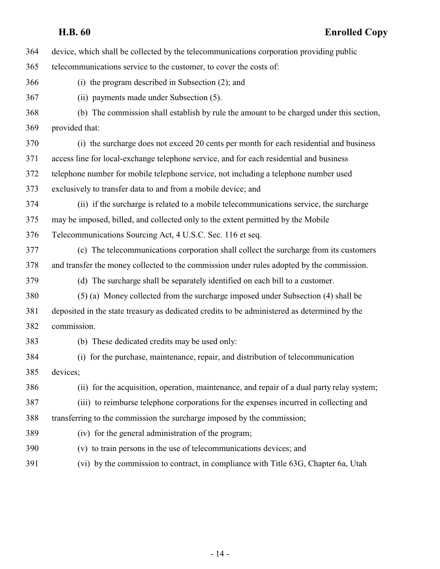| 364 | device, which shall be collected by the telecommunications corporation providing public      |
|-----|----------------------------------------------------------------------------------------------|
| 365 | telecommunications service to the customer, to cover the costs of:                           |
| 366 | (i) the program described in Subsection $(2)$ ; and                                          |
| 367 | (ii) payments made under Subsection (5).                                                     |
| 368 | (b) The commission shall establish by rule the amount to be charged under this section,      |
| 369 | provided that:                                                                               |
| 370 | (i) the surcharge does not exceed 20 cents per month for each residential and business       |
| 371 | access line for local-exchange telephone service, and for each residential and business      |
| 372 | telephone number for mobile telephone service, not including a telephone number used         |
| 373 | exclusively to transfer data to and from a mobile device; and                                |
| 374 | (ii) if the surcharge is related to a mobile telecommunications service, the surcharge       |
| 375 | may be imposed, billed, and collected only to the extent permitted by the Mobile             |
| 376 | Telecommunications Sourcing Act, 4 U.S.C. Sec. 116 et seq.                                   |
| 377 | (c) The telecommunications corporation shall collect the surcharge from its customers        |
| 378 | and transfer the money collected to the commission under rules adopted by the commission.    |
| 379 | (d) The surcharge shall be separately identified on each bill to a customer.                 |
| 380 | (5) (a) Money collected from the surcharge imposed under Subsection (4) shall be             |
| 381 | deposited in the state treasury as dedicated credits to be administered as determined by the |
| 382 | commission.                                                                                  |
| 383 | (b) These dedicated credits may be used only:                                                |
| 384 | (i) for the purchase, maintenance, repair, and distribution of telecommunication             |
| 385 | devices;                                                                                     |
| 386 | (ii) for the acquisition, operation, maintenance, and repair of a dual party relay system;   |
| 387 | (iii) to reimburse telephone corporations for the expenses incurred in collecting and        |
| 388 | transferring to the commission the surcharge imposed by the commission;                      |
| 389 | (iv) for the general administration of the program;                                          |
| 390 | (v) to train persons in the use of telecommunications devices; and                           |
| 391 | (vi) by the commission to contract, in compliance with Title 63G, Chapter 6a, Utah           |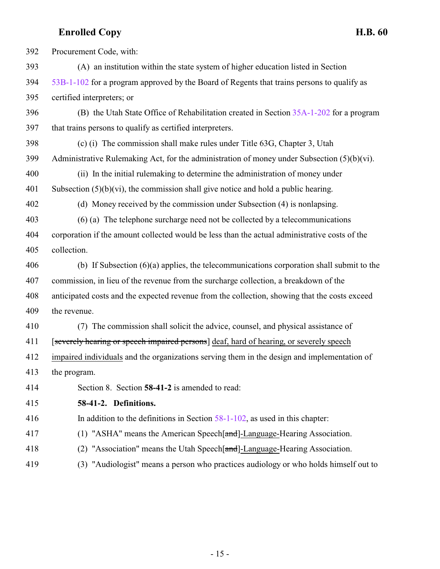<span id="page-14-0"></span> Procurement Code, with: (A) an institution within the state system of higher education listed in Section [53B-1-102](http://le.utah.gov/UtahCode/SectionLookup.jsp?section=53b-1-102&session=2017GS) for a program approved by the Board of Regents that trains persons to qualify as certified interpreters; or (B) the Utah State Office of Rehabilitation created in Section [35A-1-202](http://le.utah.gov/UtahCode/SectionLookup.jsp?section=35a-1-202&session=2017GS) for a program that trains persons to qualify as certified interpreters. (c) (i) The commission shall make rules under Title 63G, Chapter 3, Utah 399 Administrative Rulemaking Act, for the administration of money under Subsection  $(5)(b)(vi)$ . (ii) In the initial rulemaking to determine the administration of money under 401 Subsection  $(5)(b)(vi)$ , the commission shall give notice and hold a public hearing. (d) Money received by the commission under Subsection (4) is nonlapsing. (6) (a) The telephone surcharge need not be collected by a telecommunications corporation if the amount collected would be less than the actual administrative costs of the collection. (b) If Subsection (6)(a) applies, the telecommunications corporation shall submit to the commission, in lieu of the revenue from the surcharge collection, a breakdown of the anticipated costs and the expected revenue from the collection, showing that the costs exceed the revenue. (7) The commission shall solicit the advice, counsel, and physical assistance of 411 [severely hearing or speech impaired persons] deaf, hard of hearing, or severely speech impaired individuals and the organizations serving them in the design and implementation of the program. Section 8. Section **58-41-2** is amended to read: **58-41-2. Definitions.** In addition to the definitions in Section [58-1-102](http://le.utah.gov/UtahCode/SectionLookup.jsp?section=58-1-102&session=2017GS), as used in this chapter: 417 (1) "ASHA" means the American Speech[and]-Language-Hearing Association. (2) "Association" means the Utah Speech[and]-Language-Hearing Association. (3) "Audiologist" means a person who practices audiology or who holds himself out to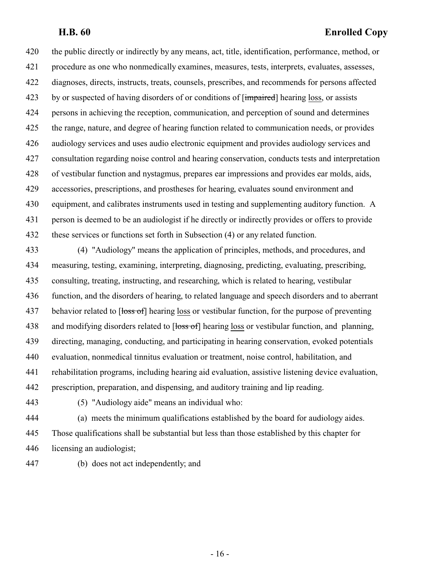the public directly or indirectly by any means, act, title, identification, performance, method, or procedure as one who nonmedically examines, measures, tests, interprets, evaluates, assesses, diagnoses, directs, instructs, treats, counsels, prescribes, and recommends for persons affected 423 by or suspected of having disorders of or conditions of [impaired] hearing loss, or assists persons in achieving the reception, communication, and perception of sound and determines the range, nature, and degree of hearing function related to communication needs, or provides audiology services and uses audio electronic equipment and provides audiology services and consultation regarding noise control and hearing conservation, conducts tests and interpretation of vestibular function and nystagmus, prepares ear impressions and provides ear molds, aids, accessories, prescriptions, and prostheses for hearing, evaluates sound environment and equipment, and calibrates instruments used in testing and supplementing auditory function. A person is deemed to be an audiologist if he directly or indirectly provides or offers to provide these services or functions set forth in Subsection (4) or any related function.

 (4) "Audiology" means the application of principles, methods, and procedures, and measuring, testing, examining, interpreting, diagnosing, predicting, evaluating, prescribing, consulting, treating, instructing, and researching, which is related to hearing, vestibular function, and the disorders of hearing, to related language and speech disorders and to aberrant 437 behavior related to [loss of] hearing loss or vestibular function, for the purpose of preventing 438 and modifying disorders related to [<del>loss of</del>] hearing loss or vestibular function, and planning, directing, managing, conducting, and participating in hearing conservation, evoked potentials evaluation, nonmedical tinnitus evaluation or treatment, noise control, habilitation, and rehabilitation programs, including hearing aid evaluation, assistive listening device evaluation, prescription, preparation, and dispensing, and auditory training and lip reading.

(5) "Audiology aide" means an individual who:

 (a) meets the minimum qualifications established by the board for audiology aides. Those qualifications shall be substantial but less than those established by this chapter for licensing an audiologist;

(b) does not act independently; and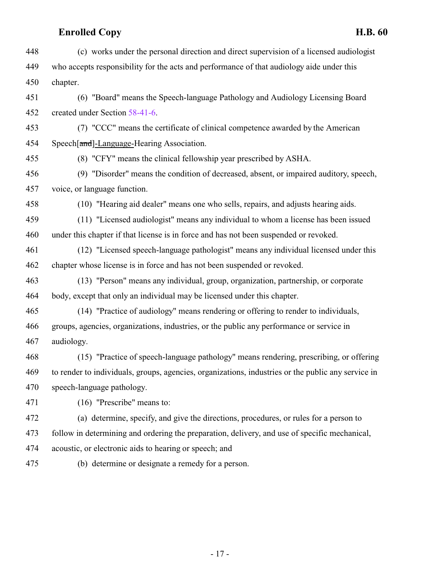| 448 | (c) works under the personal direction and direct supervision of a licensed audiologist            |
|-----|----------------------------------------------------------------------------------------------------|
| 449 | who accepts responsibility for the acts and performance of that audiology aide under this          |
| 450 | chapter.                                                                                           |
| 451 | (6) "Board" means the Speech-language Pathology and Audiology Licensing Board                      |
| 452 | created under Section 58-41-6.                                                                     |
| 453 | (7) "CCC" means the certificate of clinical competence awarded by the American                     |
| 454 | Speech[and]-Language-Hearing Association.                                                          |
| 455 | (8) "CFY" means the clinical fellowship year prescribed by ASHA.                                   |
| 456 | (9) "Disorder" means the condition of decreased, absent, or impaired auditory, speech,             |
| 457 | voice, or language function.                                                                       |
| 458 | (10) "Hearing aid dealer" means one who sells, repairs, and adjusts hearing aids.                  |
| 459 | (11) "Licensed audiologist" means any individual to whom a license has been issued                 |
| 460 | under this chapter if that license is in force and has not been suspended or revoked.              |
| 461 | (12) "Licensed speech-language pathologist" means any individual licensed under this               |
| 462 | chapter whose license is in force and has not been suspended or revoked.                           |
| 463 | (13) "Person" means any individual, group, organization, partnership, or corporate                 |
| 464 | body, except that only an individual may be licensed under this chapter.                           |
| 465 | (14) "Practice of audiology" means rendering or offering to render to individuals,                 |
| 466 | groups, agencies, organizations, industries, or the public any performance or service in           |
| 467 | audiology.                                                                                         |
| 468 | (15) "Practice of speech-language pathology" means rendering, prescribing, or offering             |
| 469 | to render to individuals, groups, agencies, organizations, industries or the public any service in |
| 470 | speech-language pathology.                                                                         |
| 471 | (16) "Prescribe" means to:                                                                         |
| 472 | (a) determine, specify, and give the directions, procedures, or rules for a person to              |
| 473 | follow in determining and ordering the preparation, delivery, and use of specific mechanical,      |
| 474 | acoustic, or electronic aids to hearing or speech; and                                             |
| 475 | (b) determine or designate a remedy for a person.                                                  |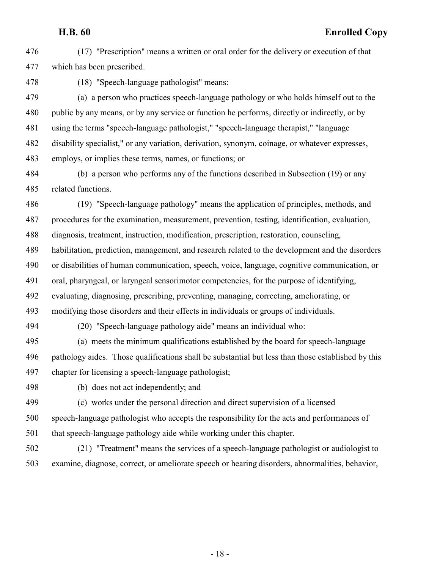(17) "Prescription" means a written or oral order for the delivery or execution of that which has been prescribed.

(18) "Speech-language pathologist" means:

 (a) a person who practices speech-language pathology or who holds himself out to the public by any means, or by any service or function he performs, directly or indirectly, or by using the terms "speech-language pathologist," "speech-language therapist," "language disability specialist," or any variation, derivation, synonym, coinage, or whatever expresses, employs, or implies these terms, names, or functions; or

 (b) a person who performs any of the functions described in Subsection (19) or any related functions.

 (19) "Speech-language pathology" means the application of principles, methods, and procedures for the examination, measurement, prevention, testing, identification, evaluation, diagnosis, treatment, instruction, modification, prescription, restoration, counseling, habilitation, prediction, management, and research related to the development and the disorders or disabilities of human communication, speech, voice, language, cognitive communication, or oral, pharyngeal, or laryngeal sensorimotor competencies, for the purpose of identifying, evaluating, diagnosing, prescribing, preventing, managing, correcting, ameliorating, or modifying those disorders and their effects in individuals or groups of individuals.

(20) "Speech-language pathology aide" means an individual who:

 (a) meets the minimum qualifications established by the board for speech-language pathology aides. Those qualifications shall be substantial but less than those established by this chapter for licensing a speech-language pathologist;

(b) does not act independently; and

(c) works under the personal direction and direct supervision of a licensed

 speech-language pathologist who accepts the responsibility for the acts and performances of that speech-language pathology aide while working under this chapter.

 (21) "Treatment" means the services of a speech-language pathologist or audiologist to examine, diagnose, correct, or ameliorate speech or hearing disorders, abnormalities, behavior,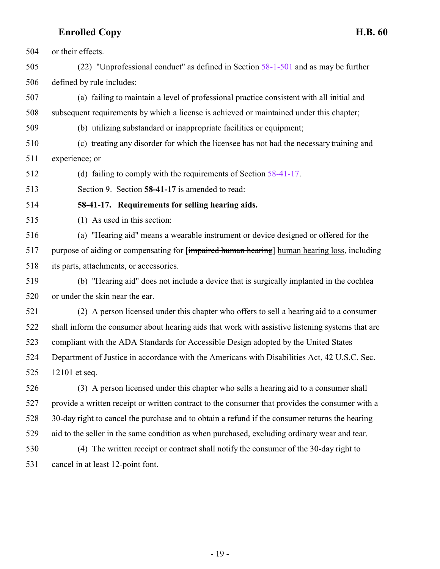or their effects.

 (22) "Unprofessional conduct" as defined in Section [58-1-501](http://le.utah.gov/UtahCode/SectionLookup.jsp?section=58-1-501&session=2017GS) and as may be further defined by rule includes:

 (a) failing to maintain a level of professional practice consistent with all initial and subsequent requirements by which a license is achieved or maintained under this chapter;

(b) utilizing substandard or inappropriate facilities or equipment;

 (c) treating any disorder for which the licensee has not had the necessary training and experience; or

(d) failing to comply with the requirements of Section [58-41-17](#page-18-0).

<span id="page-18-0"></span>Section 9. Section **58-41-17** is amended to read:

**58-41-17. Requirements for selling hearing aids.**

(1) As used in this section:

 (a) "Hearing aid" means a wearable instrument or device designed or offered for the purpose of aiding or compensating for [impaired human hearing] human hearing loss, including its parts, attachments, or accessories.

 (b) "Hearing aid" does not include a device that is surgically implanted in the cochlea or under the skin near the ear.

 (2) A person licensed under this chapter who offers to sell a hearing aid to a consumer shall inform the consumer about hearing aids that work with assistive listening systems that are compliant with the ADA Standards for Accessible Design adopted by the United States Department of Justice in accordance with the Americans with Disabilities Act, 42 U.S.C. Sec. 12101 et seq.

 (3) A person licensed under this chapter who sells a hearing aid to a consumer shall provide a written receipt or written contract to the consumer that provides the consumer with a 30-day right to cancel the purchase and to obtain a refund if the consumer returns the hearing aid to the seller in the same condition as when purchased, excluding ordinary wear and tear. (4) The written receipt or contract shall notify the consumer of the 30-day right to

cancel in at least 12-point font.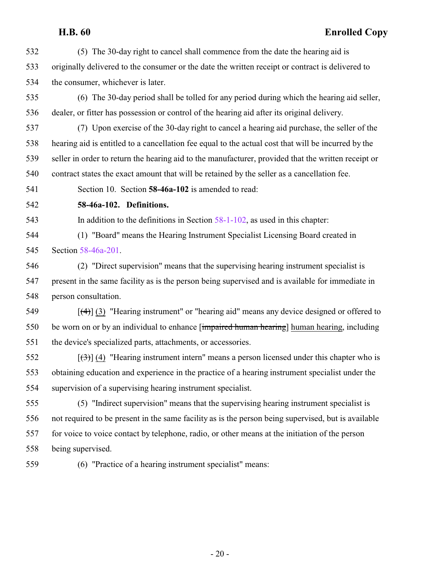(5) The 30-day right to cancel shall commence from the date the hearing aid is originally delivered to the consumer or the date the written receipt or contract is delivered to the consumer, whichever is later.

 (6) The 30-day period shall be tolled for any period during which the hearing aid seller, dealer, or fitter has possession or control of the hearing aid after its original delivery.

 (7) Upon exercise of the 30-day right to cancel a hearing aid purchase, the seller of the hearing aid is entitled to a cancellation fee equal to the actual cost that will be incurred by the seller in order to return the hearing aid to the manufacturer, provided that the written receipt or contract states the exact amount that will be retained by the seller as a cancellation fee.

Section 10. Section **58-46a-102** is amended to read:

<span id="page-19-0"></span>

### **58-46a-102. Definitions.**

In addition to the definitions in Section [58-1-102](http://le.utah.gov/UtahCode/SectionLookup.jsp?section=58-1-102&session=2017GS), as used in this chapter:

 (1) "Board" means the Hearing Instrument Specialist Licensing Board created in Section [58-46a-201](http://le.utah.gov/UtahCode/SectionLookup.jsp?section=58-46a-201&session=2017GS).

 (2) "Direct supervision" means that the supervising hearing instrument specialist is present in the same facility as is the person being supervised and is available for immediate in person consultation.

549  $\left[\frac{(4)}{(3)}\right]$  (3) "Hearing instrument" or "hearing aid" means any device designed or offered to be worn on or by an individual to enhance [impaired human hearing] human hearing, including the device's specialized parts, attachments, or accessories.

552  $\left[\left(\frac{3}{2}\right)\right]$  (4) "Hearing instrument intern" means a person licensed under this chapter who is obtaining education and experience in the practice of a hearing instrument specialist under the supervision of a supervising hearing instrument specialist.

 (5) "Indirect supervision" means that the supervising hearing instrument specialist is not required to be present in the same facility as is the person being supervised, but is available for voice to voice contact by telephone, radio, or other means at the initiation of the person being supervised.

(6) "Practice of a hearing instrument specialist" means: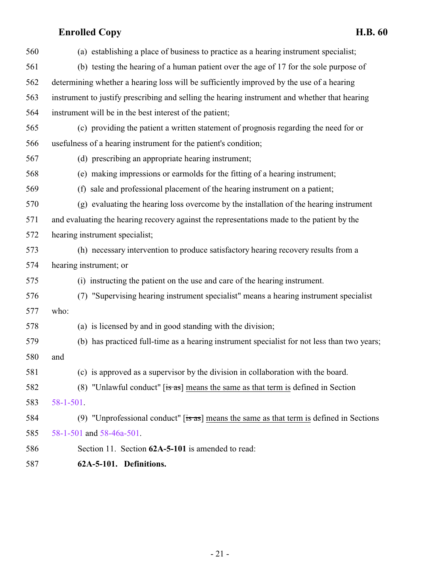| 560 | (a) establishing a place of business to practice as a hearing instrument specialist;               |
|-----|----------------------------------------------------------------------------------------------------|
| 561 | (b) testing the hearing of a human patient over the age of 17 for the sole purpose of              |
| 562 | determining whether a hearing loss will be sufficiently improved by the use of a hearing           |
| 563 | instrument to justify prescribing and selling the hearing instrument and whether that hearing      |
| 564 | instrument will be in the best interest of the patient;                                            |
| 565 | (c) providing the patient a written statement of prognosis regarding the need for or               |
| 566 | usefulness of a hearing instrument for the patient's condition;                                    |
| 567 | (d) prescribing an appropriate hearing instrument;                                                 |
| 568 | (e) making impressions or earmolds for the fitting of a hearing instrument;                        |
| 569 | (f) sale and professional placement of the hearing instrument on a patient;                        |
| 570 | (g) evaluating the hearing loss overcome by the installation of the hearing instrument             |
| 571 | and evaluating the hearing recovery against the representations made to the patient by the         |
| 572 | hearing instrument specialist;                                                                     |
| 573 | (h) necessary intervention to produce satisfactory hearing recovery results from a                 |
| 574 | hearing instrument; or                                                                             |
| 575 | (i) instructing the patient on the use and care of the hearing instrument.                         |
| 576 | (7) "Supervising hearing instrument specialist" means a hearing instrument specialist              |
| 577 | who:                                                                                               |
| 578 | (a) is licensed by and in good standing with the division;                                         |
| 579 | (b) has practiced full-time as a hearing instrument specialist for not less than two years;        |
| 580 | and                                                                                                |
| 581 | (c) is approved as a supervisor by the division in collaboration with the board.                   |
| 582 | (8) "Unlawful conduct" [is as] means the same as that term is defined in Section                   |
| 583 | $58 - 1 - 501$ .                                                                                   |
| 584 | (9) "Unprofessional conduct" $[s\overline{a}s]$ means the same as that term is defined in Sections |
| 585 | 58-1-501 and 58-46a-501.                                                                           |
| 586 | Section 11. Section 62A-5-101 is amended to read:                                                  |
|     |                                                                                                    |

<span id="page-20-0"></span>**62A-5-101. Definitions.**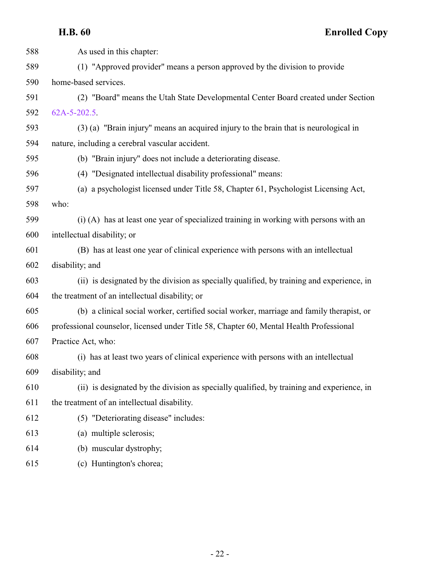| 588 | As used in this chapter:                                                                  |
|-----|-------------------------------------------------------------------------------------------|
| 589 | (1) "Approved provider" means a person approved by the division to provide                |
| 590 | home-based services.                                                                      |
| 591 | (2) "Board" means the Utah State Developmental Center Board created under Section         |
| 592 | $62A-5-202.5$ .                                                                           |
| 593 | (3) (a) "Brain injury" means an acquired injury to the brain that is neurological in      |
| 594 | nature, including a cerebral vascular accident.                                           |
| 595 | (b) "Brain injury" does not include a deteriorating disease.                              |
| 596 | (4) "Designated intellectual disability professional" means:                              |
| 597 | (a) a psychologist licensed under Title 58, Chapter 61, Psychologist Licensing Act,       |
| 598 | who:                                                                                      |
| 599 | (i) (A) has at least one year of specialized training in working with persons with an     |
| 600 | intellectual disability; or                                                               |
| 601 | (B) has at least one year of clinical experience with persons with an intellectual        |
| 602 | disability; and                                                                           |
| 603 | (ii) is designated by the division as specially qualified, by training and experience, in |
| 604 | the treatment of an intellectual disability; or                                           |
| 605 | (b) a clinical social worker, certified social worker, marriage and family therapist, or  |
| 606 | professional counselor, licensed under Title 58, Chapter 60, Mental Health Professional   |
| 607 | Practice Act, who:                                                                        |
| 608 | (i) has at least two years of clinical experience with persons with an intellectual       |
| 609 | disability; and                                                                           |
| 610 | (ii) is designated by the division as specially qualified, by training and experience, in |
| 611 | the treatment of an intellectual disability.                                              |
| 612 | (5) "Deteriorating disease" includes:                                                     |
| 613 | (a) multiple sclerosis;                                                                   |
| 614 | (b) muscular dystrophy;                                                                   |
| 615 | (c) Huntington's chorea;                                                                  |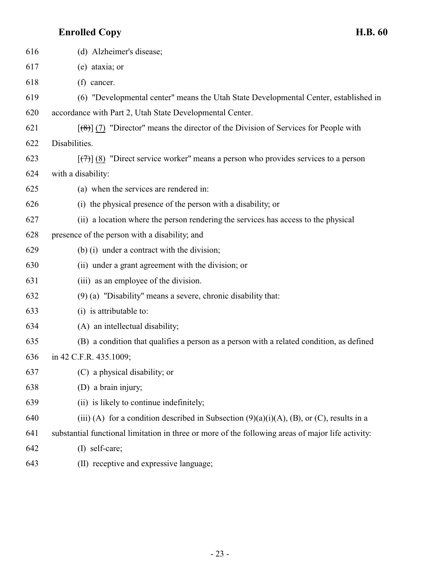| 616 | (d) Alzheimer's disease;                                                                                   |
|-----|------------------------------------------------------------------------------------------------------------|
| 617 | (e) ataxia; or                                                                                             |
| 618 | (f) cancer.                                                                                                |
| 619 | (6) "Developmental center" means the Utah State Developmental Center, established in                       |
| 620 | accordance with Part 2, Utah State Developmental Center.                                                   |
| 621 | $[\frac{1}{2}, \frac{1}{2}]$ (7) "Director" means the director of the Division of Services for People with |
| 622 | Disabilities.                                                                                              |
| 623 | $[\overline{(\tau)}](8)$ "Direct service worker" means a person who provides services to a person          |
| 624 | with a disability:                                                                                         |
| 625 | (a) when the services are rendered in:                                                                     |
| 626 | (i) the physical presence of the person with a disability; or                                              |
| 627 | (ii) a location where the person rendering the services has access to the physical                         |
| 628 | presence of the person with a disability; and                                                              |
| 629 | (b) (i) under a contract with the division;                                                                |
| 630 | (ii) under a grant agreement with the division; or                                                         |
| 631 | (iii) as an employee of the division.                                                                      |
| 632 | $(9)$ (a) "Disability" means a severe, chronic disability that:                                            |
| 633 | (i) is attributable to:                                                                                    |
| 634 | (A) an intellectual disability;                                                                            |
| 635 | (B) a condition that qualifies a person as a person with a related condition, as defined                   |
| 636 | in 42 C.F.R. 435.1009;                                                                                     |
| 637 | (C) a physical disability; or                                                                              |
| 638 | (D) a brain injury;                                                                                        |
| 639 | (ii) is likely to continue indefinitely;                                                                   |
| 640 | (iii) (A) for a condition described in Subsection $(9)(a)(i)(A)$ , (B), or (C), results in a               |
| 641 | substantial functional limitation in three or more of the following areas of major life activity:          |
| 642 | (I) self-care;                                                                                             |
| 643 | (II) receptive and expressive language;                                                                    |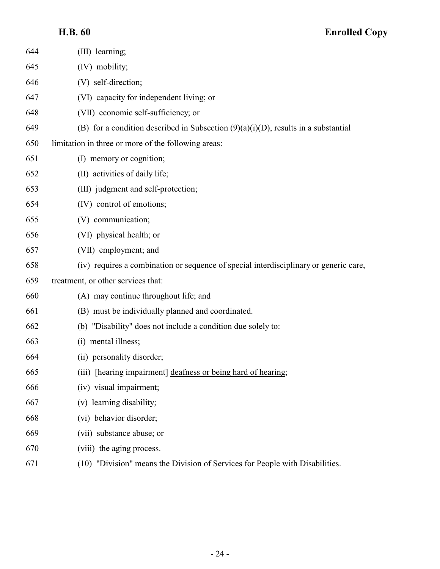| 644 | (III) learning;                                                                       |
|-----|---------------------------------------------------------------------------------------|
| 645 | (IV) mobility;                                                                        |
| 646 | (V) self-direction;                                                                   |
| 647 | (VI) capacity for independent living; or                                              |
| 648 | (VII) economic self-sufficiency; or                                                   |
| 649 | (B) for a condition described in Subsection $(9)(a)(i)(D)$ , results in a substantial |
| 650 | limitation in three or more of the following areas:                                   |
| 651 | (I) memory or cognition;                                                              |
| 652 | (II) activities of daily life;                                                        |
| 653 | (III) judgment and self-protection;                                                   |
| 654 | (IV) control of emotions;                                                             |
| 655 | (V) communication;                                                                    |
| 656 | (VI) physical health; or                                                              |
| 657 | (VII) employment; and                                                                 |
| 658 | (iv) requires a combination or sequence of special interdisciplinary or generic care, |
| 659 | treatment, or other services that:                                                    |
| 660 | (A) may continue throughout life; and                                                 |
| 661 | (B) must be individually planned and coordinated.                                     |
| 662 | (b) "Disability" does not include a condition due solely to:                          |
| 663 | (i) mental illness;                                                                   |
| 664 | (ii) personality disorder;                                                            |
| 665 | (iii) [hearing impairment] deafness or being hard of hearing;                         |
| 666 | (iv) visual impairment;                                                               |
| 667 | (v) learning disability;                                                              |
| 668 | (vi) behavior disorder;                                                               |
| 669 | (vii) substance abuse; or                                                             |
| 670 | (viii) the aging process.                                                             |
| 671 | (10) "Division" means the Division of Services for People with Disabilities.          |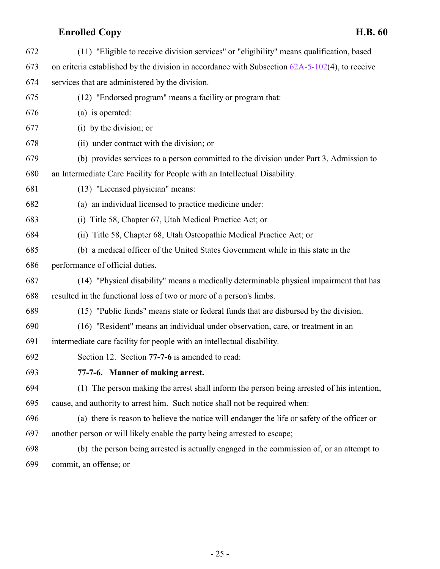<span id="page-24-0"></span>

| 672 | (11) "Eligible to receive division services" or "eligibility" means qualification, based          |
|-----|---------------------------------------------------------------------------------------------------|
| 673 | on criteria established by the division in accordance with Subsection $62A-5-102(4)$ , to receive |
| 674 | services that are administered by the division.                                                   |
| 675 | (12) "Endorsed program" means a facility or program that:                                         |
| 676 | (a) is operated:                                                                                  |
| 677 | (i) by the division; or                                                                           |
| 678 | (ii) under contract with the division; or                                                         |
| 679 | (b) provides services to a person committed to the division under Part 3, Admission to            |
| 680 | an Intermediate Care Facility for People with an Intellectual Disability.                         |
| 681 | (13) "Licensed physician" means:                                                                  |
| 682 | (a) an individual licensed to practice medicine under:                                            |
| 683 | Title 58, Chapter 67, Utah Medical Practice Act; or<br>(i)                                        |
| 684 | (ii) Title 58, Chapter 68, Utah Osteopathic Medical Practice Act; or                              |
| 685 | (b) a medical officer of the United States Government while in this state in the                  |
| 686 | performance of official duties.                                                                   |
| 687 | (14) "Physical disability" means a medically determinable physical impairment that has            |
| 688 | resulted in the functional loss of two or more of a person's limbs.                               |
| 689 | (15) "Public funds" means state or federal funds that are disbursed by the division.              |
| 690 | (16) "Resident" means an individual under observation, care, or treatment in an                   |
| 691 | intermediate care facility for people with an intellectual disability.                            |
| 692 | Section 12. Section 77-7-6 is amended to read:                                                    |
| 693 | 77-7-6. Manner of making arrest.                                                                  |
| 694 | (1) The person making the arrest shall inform the person being arrested of his intention,         |
| 695 | cause, and authority to arrest him. Such notice shall not be required when:                       |
| 696 | (a) there is reason to believe the notice will endanger the life or safety of the officer or      |
| 697 | another person or will likely enable the party being arrested to escape;                          |
| 698 | (b) the person being arrested is actually engaged in the commission of, or an attempt to          |
| 699 | commit, an offense; or                                                                            |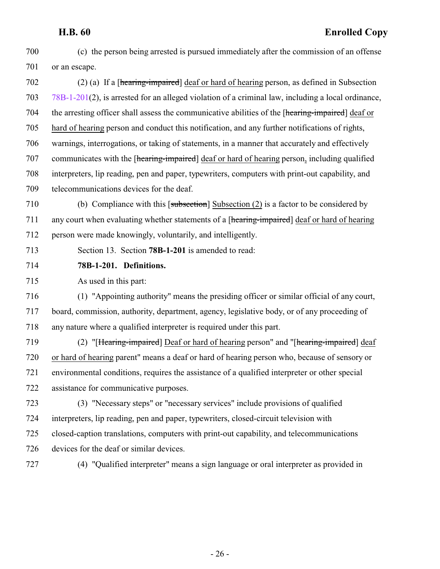- (c) the person being arrested is pursued immediately after the commission of an offense or an escape. (2) (a) If a [hearing-impaired] deaf or hard of hearing person, as defined in Subsection [78B-1-201](#page-25-0)(2), is arrested for an alleged violation of a criminal law, including a local ordinance, the arresting officer shall assess the communicative abilities of the [hearing-impaired] deaf or hard of hearing person and conduct this notification, and any further notifications of rights, warnings, interrogations, or taking of statements, in a manner that accurately and effectively 707 communicates with the [hearing-impaired] deaf or hard of hearing person, including qualified interpreters, lip reading, pen and paper, typewriters, computers with print-out capability, and telecommunications devices for the deaf. (b) Compliance with this [subsection] Subsection (2) is a factor to be considered by 711 any court when evaluating whether statements of a [hearing-impaired] deaf or hard of hearing
- person were made knowingly, voluntarily, and intelligently.
- <span id="page-25-0"></span>Section 13. Section **78B-1-201** is amended to read:
- **78B-1-201. Definitions.**

As used in this part:

- (1) "Appointing authority" means the presiding officer or similar official of any court, board, commission, authority, department, agency, legislative body, or of any proceeding of any nature where a qualified interpreter is required under this part.
- (2) "[Hearing-impaired] Deaf or hard of hearing person" and "[hearing-impaired] deaf or hard of hearing parent" means a deaf or hard of hearing person who, because of sensory or environmental conditions, requires the assistance of a qualified interpreter or other special assistance for communicative purposes.
- (3) "Necessary steps" or "necessary services" include provisions of qualified interpreters, lip reading, pen and paper, typewriters, closed-circuit television with closed-caption translations, computers with print-out capability, and telecommunications devices for the deaf or similar devices.
- 
- (4) "Qualified interpreter" means a sign language or oral interpreter as provided in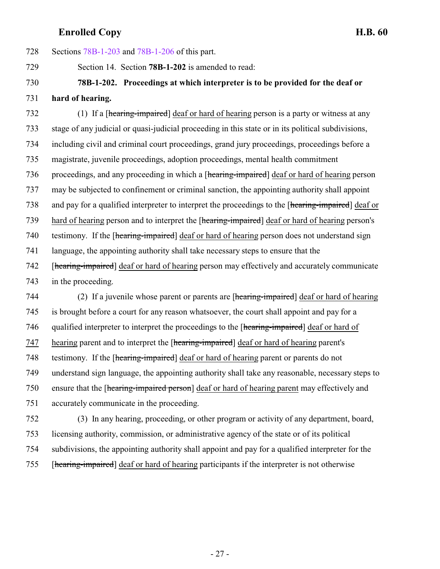<span id="page-26-0"></span> Sections [78B-1-203](#page-27-0) and [78B-1-206](#page-28-1) of this part. Section 14. Section **78B-1-202** is amended to read: **78B-1-202. Proceedings at which interpreter is to be provided for the deaf or hard of hearing.** (1) If a [hearing-impaired] deaf or hard of hearing person is a party or witness at any stage of any judicial or quasi-judicial proceeding in this state or in its political subdivisions, including civil and criminal court proceedings, grand jury proceedings, proceedings before a magistrate, juvenile proceedings, adoption proceedings, mental health commitment 736 proceedings, and any proceeding in which a [hearing-impaired] deaf or hard of hearing person may be subjected to confinement or criminal sanction, the appointing authority shall appoint and pay for a qualified interpreter to interpret the proceedings to the [hearing-impaired] deaf or hard of hearing person and to interpret the [hearing-impaired] deaf or hard of hearing person's 740 testimony. If the [hearing-impaired] deaf or hard of hearing person does not understand sign language, the appointing authority shall take necessary steps to ensure that the 742 [hearing-impaired] deaf or hard of hearing person may effectively and accurately communicate in the proceeding. (2) If a juvenile whose parent or parents are [hearing-impaired] deaf or hard of hearing is brought before a court for any reason whatsoever, the court shall appoint and pay for a qualified interpreter to interpret the proceedings to the [hearing-impaired] deaf or hard of 747 hearing parent and to interpret the [hearing-impaired] deaf or hard of hearing parent's

testimony. If the [hearing-impaired] deaf or hard of hearing parent or parents do not

understand sign language, the appointing authority shall take any reasonable, necessary steps to

 ensure that the [hearing-impaired person] deaf or hard of hearing parent may effectively and accurately communicate in the proceeding.

 (3) In any hearing, proceeding, or other program or activity of any department, board, licensing authority, commission, or administrative agency of the state or of its political subdivisions, the appointing authority shall appoint and pay for a qualified interpreter for the [hearing-impaired] deaf or hard of hearing participants if the interpreter is not otherwise

- 27 -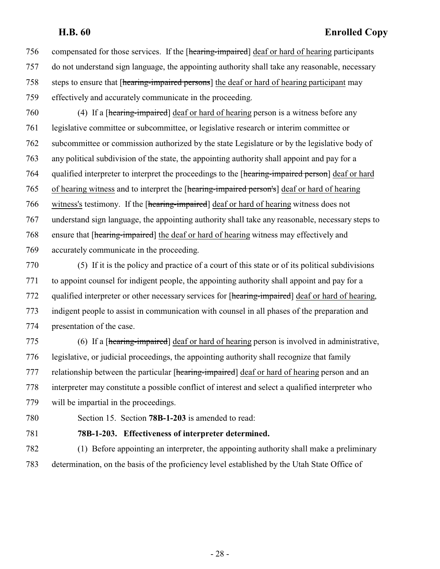compensated for those services. If the [hearing-impaired] deaf or hard of hearing participants do not understand sign language, the appointing authority shall take any reasonable, necessary steps to ensure that [hearing-impaired persons] the deaf or hard of hearing participant may effectively and accurately communicate in the proceeding.

 (4) If a [hearing-impaired] deaf or hard of hearing person is a witness before any legislative committee or subcommittee, or legislative research or interim committee or subcommittee or commission authorized by the state Legislature or by the legislative body of any political subdivision of the state, the appointing authority shall appoint and pay for a 764 qualified interpreter to interpret the proceedings to the [hearing-impaired person] deaf or hard of hearing witness and to interpret the [hearing-impaired person's] deaf or hard of hearing witness's testimony. If the [hearing-impaired] deaf or hard of hearing witness does not understand sign language, the appointing authority shall take any reasonable, necessary steps to ensure that [hearing-impaired] the deaf or hard of hearing witness may effectively and accurately communicate in the proceeding.

 (5) If it is the policy and practice of a court of this state or of its political subdivisions to appoint counsel for indigent people, the appointing authority shall appoint and pay for a 772 qualified interpreter or other necessary services for [hearing-impaired] deaf or hard of hearing, indigent people to assist in communication with counsel in all phases of the preparation and presentation of the case.

 (6) If a [hearing-impaired] deaf or hard of hearing person is involved in administrative, legislative, or judicial proceedings, the appointing authority shall recognize that family 777 relationship between the particular [hearing-impaired] deaf or hard of hearing person and an interpreter may constitute a possible conflict of interest and select a qualified interpreter who will be impartial in the proceedings.

<span id="page-27-0"></span>

Section 15. Section **78B-1-203** is amended to read:

### **78B-1-203. Effectiveness of interpreter determined.**

 (1) Before appointing an interpreter, the appointing authority shall make a preliminary determination, on the basis of the proficiency level established by the Utah State Office of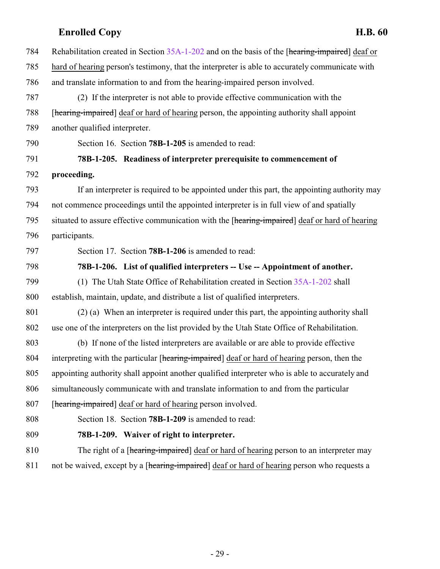<span id="page-28-2"></span><span id="page-28-1"></span><span id="page-28-0"></span>

| 784 | Rehabilitation created in Section 35A-1-202 and on the basis of the [hearing-impaired] deaf or  |
|-----|-------------------------------------------------------------------------------------------------|
| 785 | hard of hearing person's testimony, that the interpreter is able to accurately communicate with |
| 786 | and translate information to and from the hearing-impaired person involved.                     |
| 787 | (2) If the interpreter is not able to provide effective communication with the                  |
| 788 | [hearing-impaired] deaf or hard of hearing person, the appointing authority shall appoint       |
| 789 | another qualified interpreter.                                                                  |
| 790 | Section 16. Section 78B-1-205 is amended to read:                                               |
| 791 | 78B-1-205. Readiness of interpreter prerequisite to commencement of                             |
| 792 | proceeding.                                                                                     |
| 793 | If an interpreter is required to be appointed under this part, the appointing authority may     |
| 794 | not commence proceedings until the appointed interpreter is in full view of and spatially       |
| 795 | situated to assure effective communication with the [hearing-impaired] deaf or hard of hearing  |
| 796 | participants.                                                                                   |
| 797 | Section 17. Section 78B-1-206 is amended to read:                                               |
| 798 | 78B-1-206. List of qualified interpreters -- Use -- Appointment of another.                     |
| 799 | (1) The Utah State Office of Rehabilitation created in Section 35A-1-202 shall                  |
| 800 | establish, maintain, update, and distribute a list of qualified interpreters.                   |
| 801 | (2) (a) When an interpreter is required under this part, the appointing authority shall         |
| 802 | use one of the interpreters on the list provided by the Utah State Office of Rehabilitation.    |
| 803 | (b) If none of the listed interpreters are available or are able to provide effective           |
| 804 | interpreting with the particular [hearing-impaired] deaf or hard of hearing person, then the    |
| 805 | appointing authority shall appoint another qualified interpreter who is able to accurately and  |
| 806 | simultaneously communicate with and translate information to and from the particular            |
| 807 | [hearing-impaired] deaf or hard of hearing person involved.                                     |
| 808 | Section 18. Section 78B-1-209 is amended to read:                                               |
| 809 | 78B-1-209. Waiver of right to interpreter.                                                      |
| 810 | The right of a [hearing-impaired] deaf or hard of hearing person to an interpreter may          |
| 811 | not be waived, except by a [hearing-impaired] deaf or hard of hearing person who requests a     |